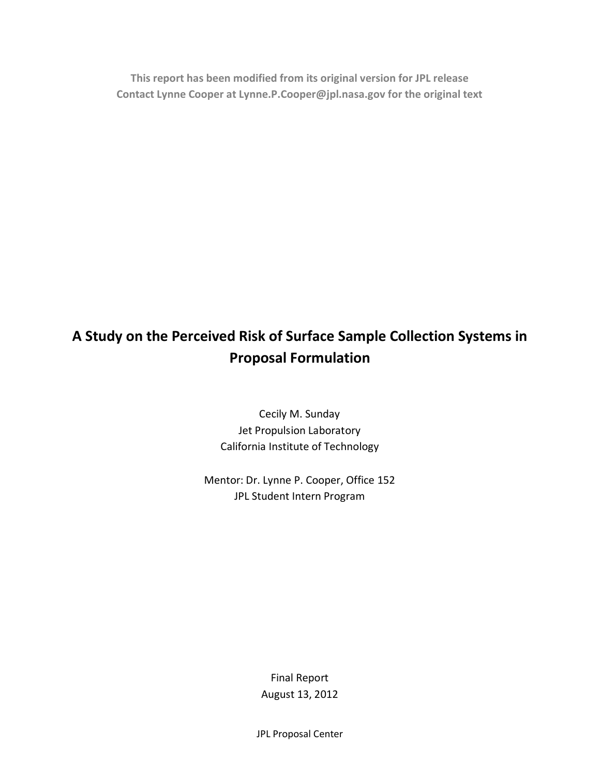**This report has been modified from its original version for JPL release Contact Lynne Cooper at Lynne.P.Cooper@jpl.nasa.gov for the original text**

# **A Study on the Perceived Risk of Surface Sample Collection Systems in Proposal Formulation**

Cecily M. Sunday Jet Propulsion Laboratory California Institute of Technology

Mentor: Dr. Lynne P. Cooper, Office 152 JPL Student Intern Program

> Final Report August 13, 2012

JPL Proposal Center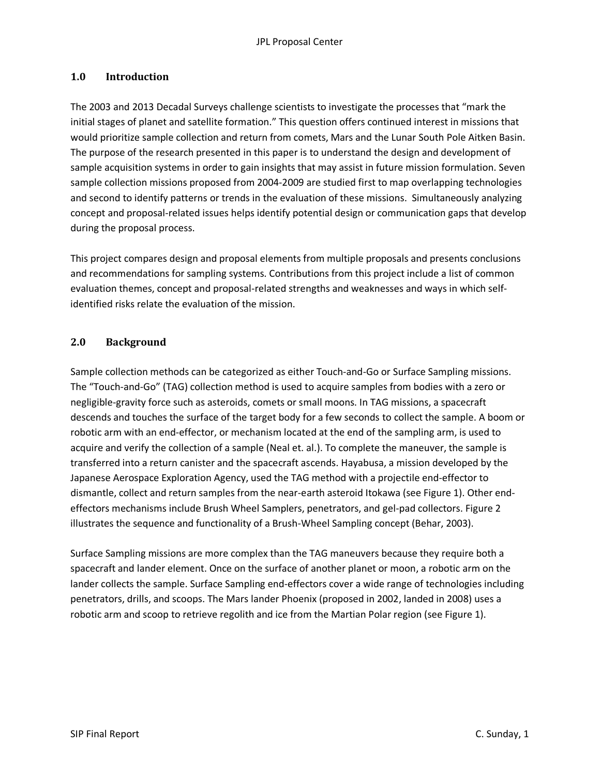### **1.0 Introduction**

The 2003 and 2013 Decadal Surveys challenge scientists to investigate the processes that "mark the initial stages of planet and satellite formation." This question offers continued interest in missions that would prioritize sample collection and return from comets, Mars and the Lunar South Pole Aitken Basin. The purpose of the research presented in this paper is to understand the design and development of sample acquisition systems in order to gain insights that may assist in future mission formulation. Seven sample collection missions proposed from 2004-2009 are studied first to map overlapping technologies and second to identify patterns or trends in the evaluation of these missions. Simultaneously analyzing concept and proposal-related issues helps identify potential design or communication gaps that develop during the proposal process.

This project compares design and proposal elements from multiple proposals and presents conclusions and recommendations for sampling systems. Contributions from this project include a list of common evaluation themes, concept and proposal-related strengths and weaknesses and ways in which selfidentified risks relate the evaluation of the mission.

#### **2.0 Background**

Sample collection methods can be categorized as either Touch-and-Go or Surface Sampling missions. The "Touch-and-Go" (TAG) collection method is used to acquire samples from bodies with a zero or negligible-gravity force such as asteroids, comets or small moons. In TAG missions, a spacecraft descends and touches the surface of the target body for a few seconds to collect the sample. A boom or robotic arm with an end-effector, or mechanism located at the end of the sampling arm, is used to acquire and verify the collection of a sample (Neal et. al.). To complete the maneuver, the sample is transferred into a return canister and the spacecraft ascends. Hayabusa, a mission developed by the Japanese Aerospace Exploration Agency, used the TAG method with a projectile end-effector to dismantle, collect and return samples from the near-earth asteroid Itokawa (see Figure 1). Other endeffectors mechanisms include Brush Wheel Samplers, penetrators, and gel-pad collectors. Figure 2 illustrates the sequence and functionality of a Brush-Wheel Sampling concept (Behar, 2003).

Surface Sampling missions are more complex than the TAG maneuvers because they require both a spacecraft and lander element. Once on the surface of another planet or moon, a robotic arm on the lander collects the sample. Surface Sampling end-effectors cover a wide range of technologies including penetrators, drills, and scoops. The Mars lander Phoenix (proposed in 2002, landed in 2008) uses a robotic arm and scoop to retrieve regolith and ice from the Martian Polar region (see Figure 1).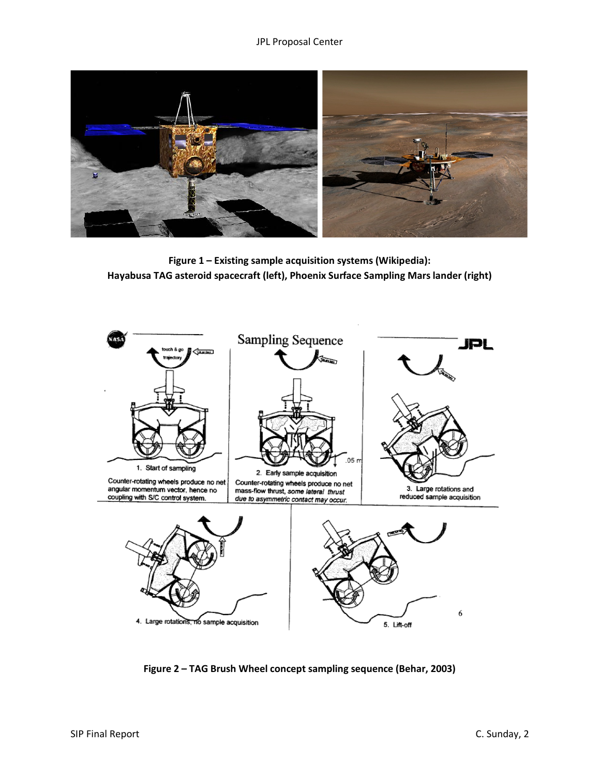

**Figure 1 – Existing sample acquisition systems (Wikipedia): Hayabusa TAG asteroid spacecraft (left), Phoenix Surface Sampling Mars lander (right)** 



**Figure 2 – TAG Brush Wheel concept sampling sequence (Behar, 2003)**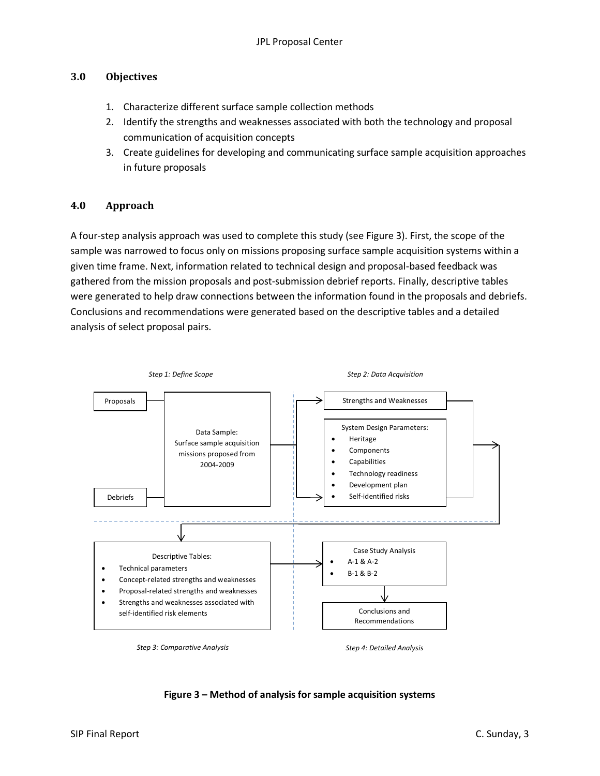# **3.0 Objectives**

- 1. Characterize different surface sample collection methods
- 2. Identify the strengths and weaknesses associated with both the technology and proposal communication of acquisition concepts
- 3. Create guidelines for developing and communicating surface sample acquisition approaches in future proposals

# **4.0 Approach**

A four-step analysis approach was used to complete this study (see Figure 3). First, the scope of the sample was narrowed to focus only on missions proposing surface sample acquisition systems within a given time frame. Next, information related to technical design and proposal-based feedback was gathered from the mission proposals and post-submission debrief reports. Finally, descriptive tables were generated to help draw connections between the information found in the proposals and debriefs. Conclusions and recommendations were generated based on the descriptive tables and a detailed analysis of select proposal pairs.



**Figure 3 – Method of analysis for sample acquisition systems**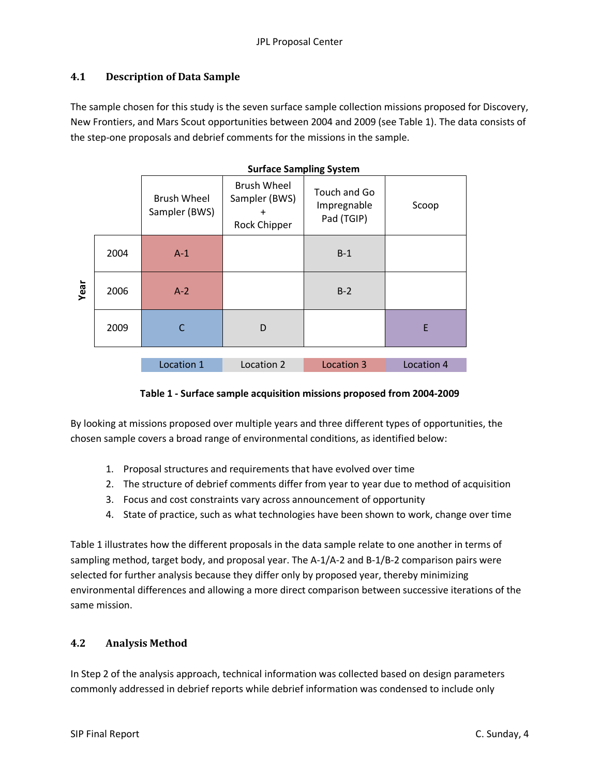# **4.1 Description of Data Sample**

The sample chosen for this study is the seven surface sample collection missions proposed for Discovery, New Frontiers, and Mars Scout opportunities between 2004 and 2009 (see Table 1). The data consists of the step-one proposals and debrief comments for the missions in the sample.

|      |      | <b>Surface Sampling System</b>      |                                                                         |                                           |            |
|------|------|-------------------------------------|-------------------------------------------------------------------------|-------------------------------------------|------------|
|      |      | <b>Brush Wheel</b><br>Sampler (BWS) | <b>Brush Wheel</b><br>Sampler (BWS)<br>$\ddot{}$<br><b>Rock Chipper</b> | Touch and Go<br>Impregnable<br>Pad (TGIP) | Scoop      |
|      | 2004 | $A-1$                               |                                                                         | $B-1$                                     |            |
| Year | 2006 | $A-2$                               |                                                                         | $B-2$                                     |            |
|      | 2009 | C                                   | D                                                                       |                                           | E          |
|      |      |                                     |                                                                         |                                           |            |
|      |      | Location 1                          | Location 2                                                              | Location 3                                | Location 4 |

#### **Table 1 - Surface sample acquisition missions proposed from 2004-2009**

By looking at missions proposed over multiple years and three different types of opportunities, the chosen sample covers a broad range of environmental conditions, as identified below:

- 1. Proposal structures and requirements that have evolved over time
- 2. The structure of debrief comments differ from year to year due to method of acquisition
- 3. Focus and cost constraints vary across announcement of opportunity
- 4. State of practice, such as what technologies have been shown to work, change over time

Table 1 illustrates how the different proposals in the data sample relate to one another in terms of sampling method, target body, and proposal year. The A-1/A-2 and B-1/B-2 comparison pairs were selected for further analysis because they differ only by proposed year, thereby minimizing environmental differences and allowing a more direct comparison between successive iterations of the same mission.

# **4.2 Analysis Method**

In Step 2 of the analysis approach, technical information was collected based on design parameters commonly addressed in debrief reports while debrief information was condensed to include only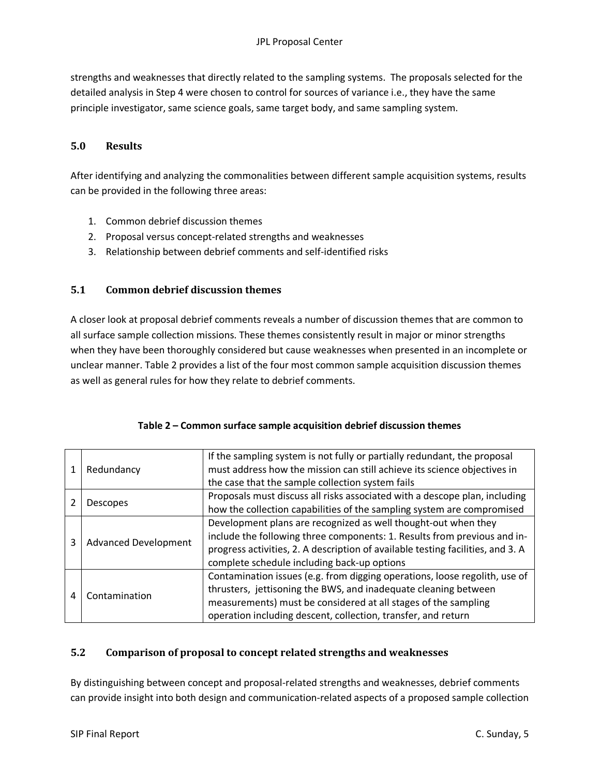strengths and weaknesses that directly related to the sampling systems. The proposals selected for the detailed analysis in Step 4 were chosen to control for sources of variance i.e., they have the same principle investigator, same science goals, same target body, and same sampling system.

## **5.0 Results**

After identifying and analyzing the commonalities between different sample acquisition systems, results can be provided in the following three areas:

- 1. Common debrief discussion themes
- 2. Proposal versus concept-related strengths and weaknesses
- 3. Relationship between debrief comments and self-identified risks

#### **5.1 Common debrief discussion themes**

A closer look at proposal debrief comments reveals a number of discussion themes that are common to all surface sample collection missions. These themes consistently result in major or minor strengths when they have been thoroughly considered but cause weaknesses when presented in an incomplete or unclear manner. Table 2 provides a list of the four most common sample acquisition discussion themes as well as general rules for how they relate to debrief comments.

|   | Redundancy                  | If the sampling system is not fully or partially redundant, the proposal<br>must address how the mission can still achieve its science objectives in<br>the case that the sample collection system fails                                                                         |
|---|-----------------------------|----------------------------------------------------------------------------------------------------------------------------------------------------------------------------------------------------------------------------------------------------------------------------------|
|   | <b>Descopes</b>             | Proposals must discuss all risks associated with a descope plan, including<br>how the collection capabilities of the sampling system are compromised                                                                                                                             |
| 3 | <b>Advanced Development</b> | Development plans are recognized as well thought-out when they<br>include the following three components: 1. Results from previous and in-<br>progress activities, 2. A description of available testing facilities, and 3. A<br>complete schedule including back-up options     |
| 4 | Contamination               | Contamination issues (e.g. from digging operations, loose regolith, use of<br>thrusters, jettisoning the BWS, and inadequate cleaning between<br>measurements) must be considered at all stages of the sampling<br>operation including descent, collection, transfer, and return |

| Table 2 - Common surface sample acquisition debrief discussion themes |  |
|-----------------------------------------------------------------------|--|
|-----------------------------------------------------------------------|--|

# **5.2 Comparison of proposal to concept related strengths and weaknesses**

By distinguishing between concept and proposal-related strengths and weaknesses, debrief comments can provide insight into both design and communication-related aspects of a proposed sample collection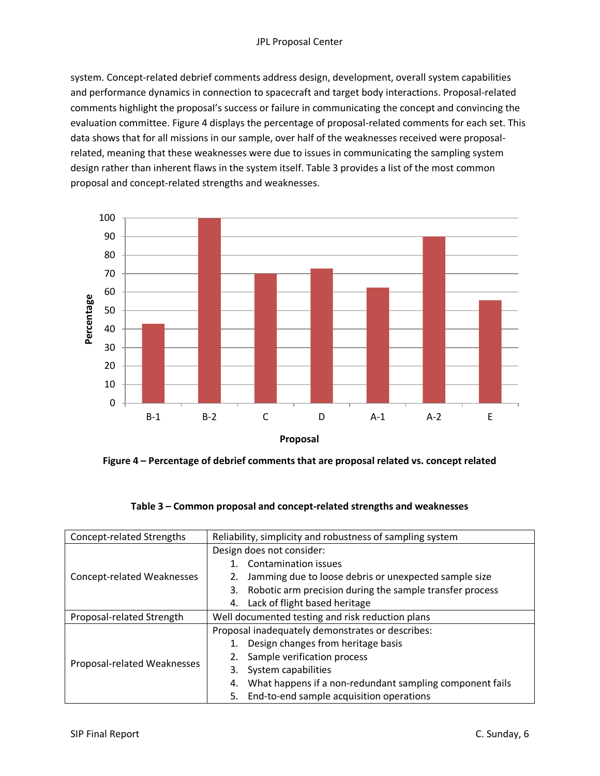#### JPL Proposal Center

system. Concept-related debrief comments address design, development, overall system capabilities and performance dynamics in connection to spacecraft and target body interactions. Proposal-related comments highlight the proposal's success or failure in communicating the concept and convincing the evaluation committee. Figure 4 displays the percentage of proposal-related comments for each set. This data shows that for all missions in our sample, over half of the weaknesses received were proposalrelated, meaning that these weaknesses were due to issues in communicating the sampling system design rather than inherent flaws in the system itself. Table 3 provides a list of the most common proposal and concept-related strengths and weaknesses.



**Figure 4 – Percentage of debrief comments that are proposal related vs. concept related**

| Concept-related Strengths   | Reliability, simplicity and robustness of sampling system      |  |  |
|-----------------------------|----------------------------------------------------------------|--|--|
|                             | Design does not consider:                                      |  |  |
|                             | Contamination issues                                           |  |  |
| Concept-related Weaknesses  | Jamming due to loose debris or unexpected sample size          |  |  |
|                             | Robotic arm precision during the sample transfer process<br>3. |  |  |
|                             | Lack of flight based heritage<br>4.                            |  |  |
| Proposal-related Strength   | Well documented testing and risk reduction plans               |  |  |
|                             | Proposal inadequately demonstrates or describes:               |  |  |
|                             | Design changes from heritage basis                             |  |  |
|                             | Sample verification process                                    |  |  |
| Proposal-related Weaknesses | System capabilities<br>3.                                      |  |  |
|                             | What happens if a non-redundant sampling component fails<br>4. |  |  |
|                             | End-to-end sample acquisition operations<br>5.                 |  |  |

#### **Table 3 – Common proposal and concept-related strengths and weaknesses**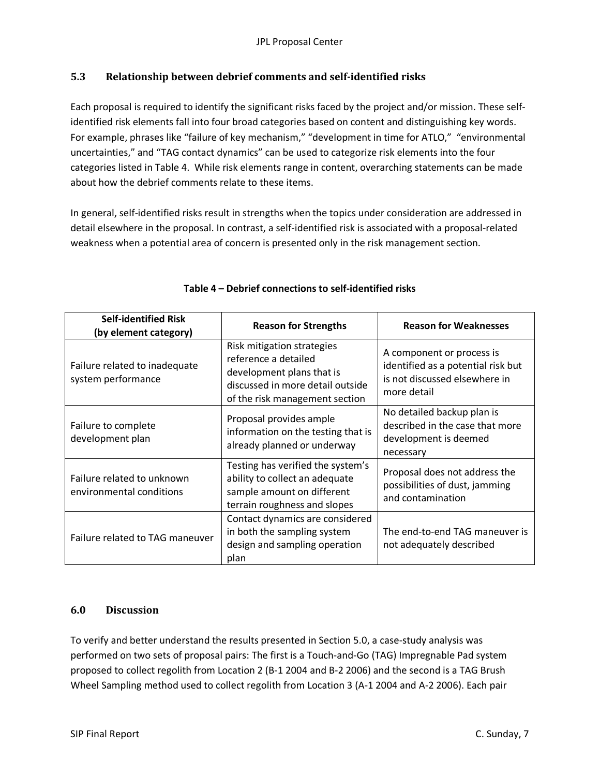# **5.3 Relationship between debrief comments and self-identified risks**

Each proposal is required to identify the significant risks faced by the project and/or mission. These selfidentified risk elements fall into four broad categories based on content and distinguishing key words. For example, phrases like "failure of key mechanism," "development in time for ATLO," "environmental uncertainties," and "TAG contact dynamics" can be used to categorize risk elements into the four categories listed in Table 4. While risk elements range in content, overarching statements can be made about how the debrief comments relate to these items.

In general, self-identified risks result in strengths when the topics under consideration are addressed in detail elsewhere in the proposal. In contrast, a self-identified risk is associated with a proposal-related weakness when a potential area of concern is presented only in the risk management section.

| <b>Self-identified Risk</b><br>(by element category)   | <b>Reason for Strengths</b>                                                                                                                           | <b>Reason for Weaknesses</b>                                                                                    |
|--------------------------------------------------------|-------------------------------------------------------------------------------------------------------------------------------------------------------|-----------------------------------------------------------------------------------------------------------------|
| Failure related to inadequate<br>system performance    | Risk mitigation strategies<br>reference a detailed<br>development plans that is<br>discussed in more detail outside<br>of the risk management section | A component or process is<br>identified as a potential risk but<br>is not discussed elsewhere in<br>more detail |
| Failure to complete<br>development plan                | Proposal provides ample<br>information on the testing that is<br>already planned or underway                                                          | No detailed backup plan is<br>described in the case that more<br>development is deemed<br>necessary             |
| Failure related to unknown<br>environmental conditions | Testing has verified the system's<br>ability to collect an adequate<br>sample amount on different<br>terrain roughness and slopes                     | Proposal does not address the<br>possibilities of dust, jamming<br>and contamination                            |
| Failure related to TAG maneuver                        | Contact dynamics are considered<br>in both the sampling system<br>design and sampling operation<br>plan                                               | The end-to-end TAG maneuver is<br>not adequately described                                                      |

# **Table 4 – Debrief connections to self-identified risks**

# **6.0 Discussion**

To verify and better understand the results presented in Section 5.0, a case-study analysis was performed on two sets of proposal pairs: The first is a Touch-and-Go (TAG) Impregnable Pad system proposed to collect regolith from Location 2 (B-1 2004 and B-2 2006) and the second is a TAG Brush Wheel Sampling method used to collect regolith from Location 3 (A-1 2004 and A-2 2006). Each pair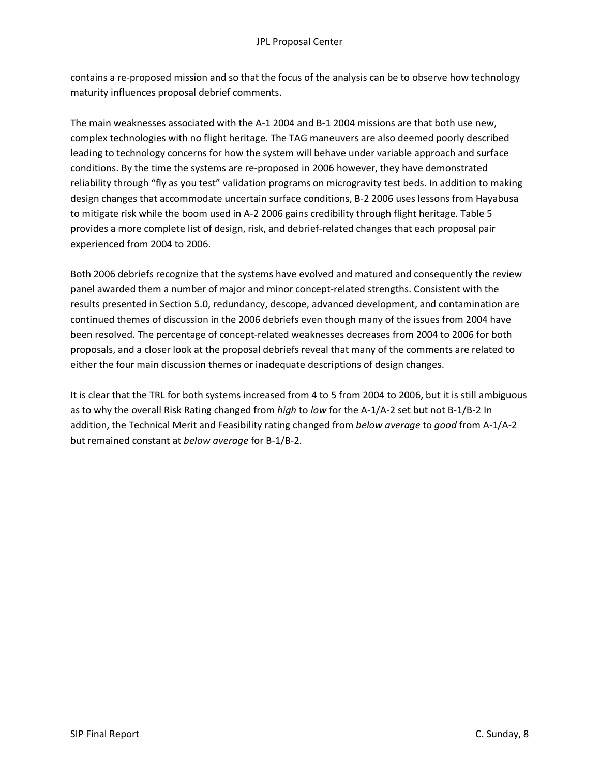contains a re-proposed mission and so that the focus of the analysis can be to observe how technology maturity influences proposal debrief comments.

The main weaknesses associated with the A-1 2004 and B-1 2004 missions are that both use new, complex technologies with no flight heritage. The TAG maneuvers are also deemed poorly described leading to technology concerns for how the system will behave under variable approach and surface conditions. By the time the systems are re-proposed in 2006 however, they have demonstrated reliability through "fly as you test" validation programs on microgravity test beds. In addition to making design changes that accommodate uncertain surface conditions, B-2 2006 uses lessons from Hayabusa to mitigate risk while the boom used in A-2 2006 gains credibility through flight heritage. Table 5 provides a more complete list of design, risk, and debrief-related changes that each proposal pair experienced from 2004 to 2006.

Both 2006 debriefs recognize that the systems have evolved and matured and consequently the review panel awarded them a number of major and minor concept-related strengths. Consistent with the results presented in Section 5.0, redundancy, descope, advanced development, and contamination are continued themes of discussion in the 2006 debriefs even though many of the issues from 2004 have been resolved. The percentage of concept-related weaknesses decreases from 2004 to 2006 for both proposals, and a closer look at the proposal debriefs reveal that many of the comments are related to either the four main discussion themes or inadequate descriptions of design changes.

It is clear that the TRL for both systems increased from 4 to 5 from 2004 to 2006, but it is still ambiguous as to why the overall Risk Rating changed from *high* to *low* for the A-1/A-2 set but not B-1/B-2 In addition, the Technical Merit and Feasibility rating changed from *below average* to *good* from A-1/A-2 but remained constant at *below average* for B-1/B-2.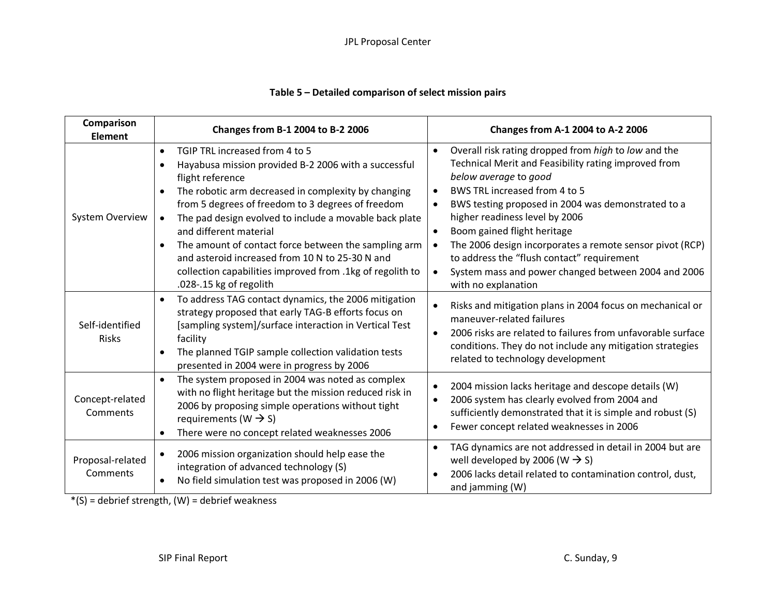# **Table 5 – Detailed comparison of select mission pairs**

| Comparison<br><b>Element</b> | Changes from B-1 2004 to B-2 2006                                                                                                                                                                                                                                                                                                                                                                                                                                                                                                                    | Changes from A-1 2004 to A-2 2006                                                                                                                                                                                                                                                                                                                                                                                                                                                                                            |
|------------------------------|------------------------------------------------------------------------------------------------------------------------------------------------------------------------------------------------------------------------------------------------------------------------------------------------------------------------------------------------------------------------------------------------------------------------------------------------------------------------------------------------------------------------------------------------------|------------------------------------------------------------------------------------------------------------------------------------------------------------------------------------------------------------------------------------------------------------------------------------------------------------------------------------------------------------------------------------------------------------------------------------------------------------------------------------------------------------------------------|
| <b>System Overview</b>       | TGIP TRL increased from 4 to 5<br>$\bullet$<br>Hayabusa mission provided B-2 2006 with a successful<br>flight reference<br>The robotic arm decreased in complexity by changing<br>from 5 degrees of freedom to 3 degrees of freedom<br>The pad design evolved to include a movable back plate<br>$\bullet$<br>and different material<br>The amount of contact force between the sampling arm<br>$\bullet$<br>and asteroid increased from 10 N to 25-30 N and<br>collection capabilities improved from .1kg of regolith to<br>.028-.15 kg of regolith | Overall risk rating dropped from high to low and the<br>$\bullet$<br>Technical Merit and Feasibility rating improved from<br>below average to good<br>BWS TRL increased from 4 to 5<br>$\bullet$<br>BWS testing proposed in 2004 was demonstrated to a<br>$\bullet$<br>higher readiness level by 2006<br>Boom gained flight heritage<br>The 2006 design incorporates a remote sensor pivot (RCP)<br>to address the "flush contact" requirement<br>System mass and power changed between 2004 and 2006<br>with no explanation |
| Self-identified<br>Risks     | To address TAG contact dynamics, the 2006 mitigation<br>$\bullet$<br>strategy proposed that early TAG-B efforts focus on<br>[sampling system]/surface interaction in Vertical Test<br>facility<br>The planned TGIP sample collection validation tests<br>presented in 2004 were in progress by 2006                                                                                                                                                                                                                                                  | Risks and mitigation plans in 2004 focus on mechanical or<br>maneuver-related failures<br>2006 risks are related to failures from unfavorable surface<br>conditions. They do not include any mitigation strategies<br>related to technology development                                                                                                                                                                                                                                                                      |
| Concept-related<br>Comments  | The system proposed in 2004 was noted as complex<br>$\bullet$<br>with no flight heritage but the mission reduced risk in<br>2006 by proposing simple operations without tight<br>requirements ( $W \rightarrow S$ )<br>There were no concept related weaknesses 2006                                                                                                                                                                                                                                                                                 | 2004 mission lacks heritage and descope details (W)<br>2006 system has clearly evolved from 2004 and<br>$\bullet$<br>sufficiently demonstrated that it is simple and robust (S)<br>Fewer concept related weaknesses in 2006<br>$\bullet$                                                                                                                                                                                                                                                                                     |
| Proposal-related<br>Comments | 2006 mission organization should help ease the<br>$\bullet$<br>integration of advanced technology (S)<br>No field simulation test was proposed in 2006 (W)<br>$\bullet$                                                                                                                                                                                                                                                                                                                                                                              | TAG dynamics are not addressed in detail in 2004 but are<br>well developed by 2006 (W $\rightarrow$ S)<br>2006 lacks detail related to contamination control, dust,<br>and jamming (W)                                                                                                                                                                                                                                                                                                                                       |

 $*(S)$  = debrief strength, (W) = debrief weakness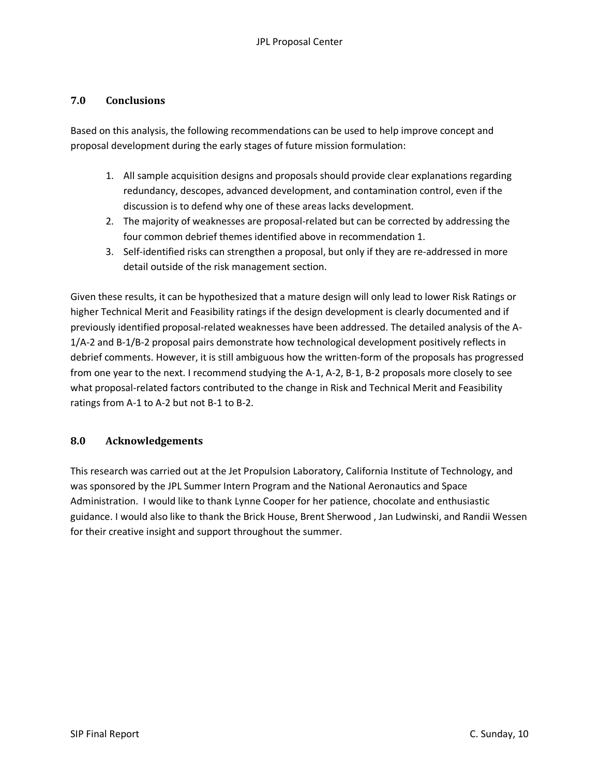## **7.0 Conclusions**

Based on this analysis, the following recommendations can be used to help improve concept and proposal development during the early stages of future mission formulation:

- 1. All sample acquisition designs and proposals should provide clear explanations regarding redundancy, descopes, advanced development, and contamination control, even if the discussion is to defend why one of these areas lacks development.
- 2. The majority of weaknesses are proposal-related but can be corrected by addressing the four common debrief themes identified above in recommendation 1.
- 3. Self-identified risks can strengthen a proposal, but only if they are re-addressed in more detail outside of the risk management section.

Given these results, it can be hypothesized that a mature design will only lead to lower Risk Ratings or higher Technical Merit and Feasibility ratings if the design development is clearly documented and if previously identified proposal-related weaknesses have been addressed. The detailed analysis of the A-1/A-2 and B-1/B-2 proposal pairs demonstrate how technological development positively reflects in debrief comments. However, it is still ambiguous how the written-form of the proposals has progressed from one year to the next. I recommend studying the A-1, A-2, B-1, B-2 proposals more closely to see what proposal-related factors contributed to the change in Risk and Technical Merit and Feasibility ratings from A-1 to A-2 but not B-1 to B-2.

#### **8.0 Acknowledgements**

This research was carried out at the Jet Propulsion Laboratory, California Institute of Technology, and was sponsored by the JPL Summer Intern Program and the National Aeronautics and Space Administration. I would like to thank Lynne Cooper for her patience, chocolate and enthusiastic guidance. I would also like to thank the Brick House, Brent Sherwood , Jan Ludwinski, and Randii Wessen for their creative insight and support throughout the summer.